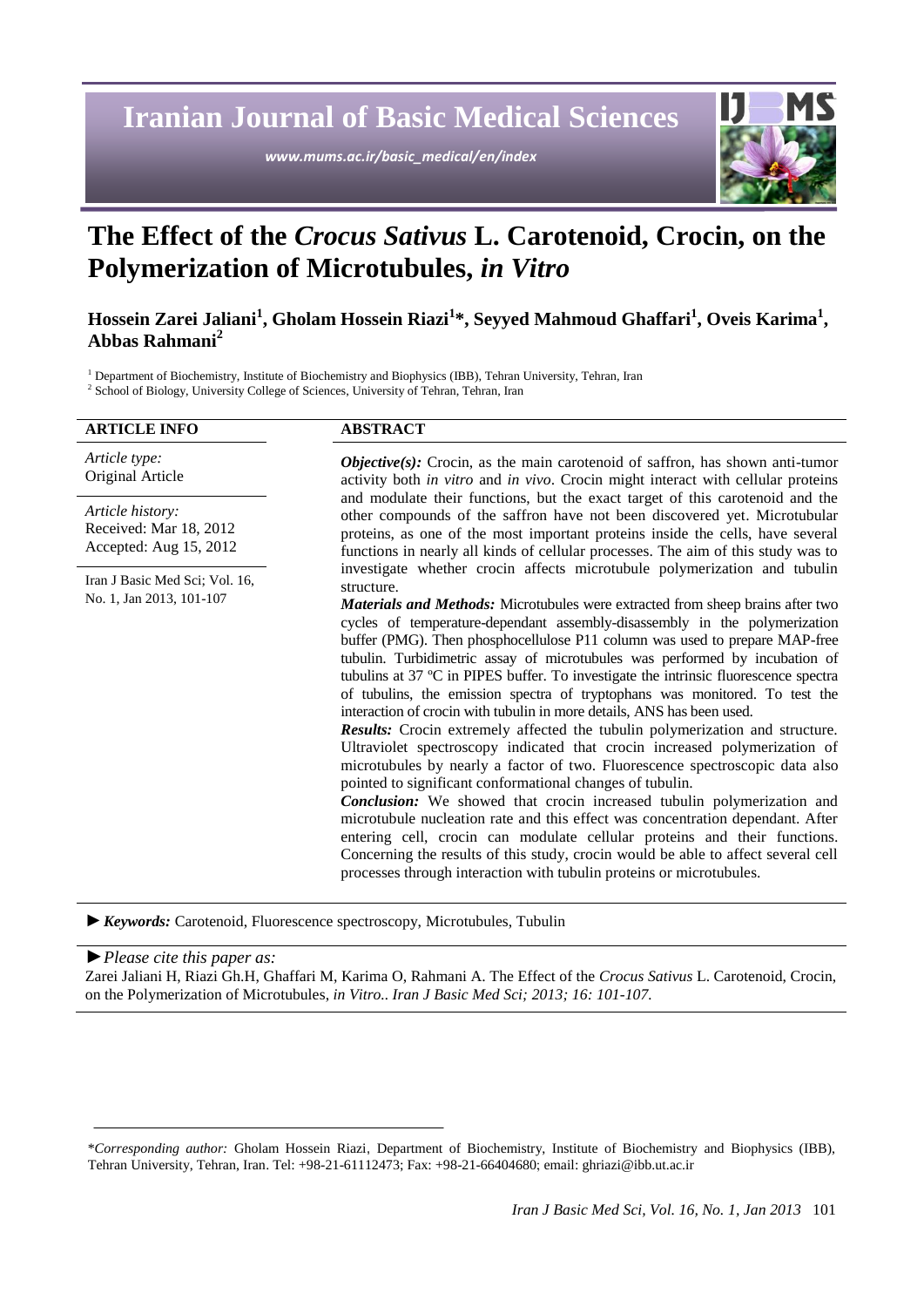**Iranian Journal of Basic Medical Sciences**

*www.mums.ac.ir/basic\_medical/en/index*



# **The Effect of the** *Crocus Sativus* **L. Carotenoid, Crocin, on the Polymerization of Microtubules,** *in Vitro*

## **Hossein Zarei Jaliani<sup>1</sup> , Gholam Hossein Riazi<sup>1</sup> \*, Seyyed Mahmoud Ghaffari<sup>1</sup> , Oveis Karima<sup>1</sup> , Abbas Rahmani<sup>2</sup>**

<sup>1</sup> Department of Biochemistry, Institute of Biochemistry and Biophysics (IBB), Tehran University, Tehran, Iran <sup>2</sup> School of Biology, University College of Sciences, University of Tehran, Tehran, Iran

| <b>ARTICLE INFO</b>                                                  | <b>ABSTRACT</b>                                                                                                                                                                                                                                                                                                                                                                                                                                                                                                                                                                                                                                                                                                                                                                                                                                                                                                                                                                                                                                                                                                                                                                                                                                                                                                                                                                                       |
|----------------------------------------------------------------------|-------------------------------------------------------------------------------------------------------------------------------------------------------------------------------------------------------------------------------------------------------------------------------------------------------------------------------------------------------------------------------------------------------------------------------------------------------------------------------------------------------------------------------------------------------------------------------------------------------------------------------------------------------------------------------------------------------------------------------------------------------------------------------------------------------------------------------------------------------------------------------------------------------------------------------------------------------------------------------------------------------------------------------------------------------------------------------------------------------------------------------------------------------------------------------------------------------------------------------------------------------------------------------------------------------------------------------------------------------------------------------------------------------|
| Article type:<br>Original Article                                    | <b><i>Objective(s)</i></b> : Crocin, as the main carotenoid of saffron, has shown anti-tumor<br>activity both in vitro and in vivo. Crocin might interact with cellular proteins<br>and modulate their functions, but the exact target of this carotenoid and the<br>other compounds of the saffron have not been discovered yet. Microtubular<br>proteins, as one of the most important proteins inside the cells, have several<br>functions in nearly all kinds of cellular processes. The aim of this study was to                                                                                                                                                                                                                                                                                                                                                                                                                                                                                                                                                                                                                                                                                                                                                                                                                                                                                 |
| Article history:<br>Received: Mar 18, 2012<br>Accepted: Aug 15, 2012 |                                                                                                                                                                                                                                                                                                                                                                                                                                                                                                                                                                                                                                                                                                                                                                                                                                                                                                                                                                                                                                                                                                                                                                                                                                                                                                                                                                                                       |
| Iran J Basic Med Sci; Vol. 16,                                       | investigate whether crocin affects microtubule polymerization and tubulin<br>structure.<br><b>Materials and Methods:</b> Microtubules were extracted from sheep brains after two<br>cycles of temperature-dependant assembly-disassembly in the polymerization<br>buffer (PMG). Then phosphocellulose P11 column was used to prepare MAP-free<br>tubulin. Turbidimetric assay of microtubules was performed by incubation of<br>tubulins at 37 °C in PIPES buffer. To investigate the intrinsic fluorescence spectra<br>of tubulins, the emission spectra of tryptophans was monitored. To test the<br>interaction of crocin with tubulin in more details, ANS has been used.<br><b>Results:</b> Crocin extremely affected the tubulin polymerization and structure.<br>Ultraviolet spectroscopy indicated that crocin increased polymerization of<br>microtubules by nearly a factor of two. Fluorescence spectroscopic data also<br>pointed to significant conformational changes of tubulin.<br>Conclusion: We showed that crocin increased tubulin polymerization and<br>microtubule nucleation rate and this effect was concentration dependant. After<br>entering cell, crocin can modulate cellular proteins and their functions.<br>Concerning the results of this study, crocin would be able to affect several cell<br>processes through interaction with tubulin proteins or microtubules. |
| No. 1, Jan 2013, 101-107                                             |                                                                                                                                                                                                                                                                                                                                                                                                                                                                                                                                                                                                                                                                                                                                                                                                                                                                                                                                                                                                                                                                                                                                                                                                                                                                                                                                                                                                       |

*►Keywords:* Carotenoid, Fluorescence spectroscopy, Microtubules, Tubulin

*►Please cite this paper as:* Zarei Jaliani H, Riazi Gh.H, Ghaffari M, Karima O, Rahmani A. The Effect of the *Crocus Sativus* L. Carotenoid, Crocin, on the Polymerization of Microtubules, *in Vitro.. Iran J Basic Med Sci; 2013; 16: 101-107.*

<sup>\*</sup>*Corresponding author:* Gholam Hossein Riazi, Department of Biochemistry, Institute of Biochemistry and Biophysics (IBB), Tehran University, Tehran, Iran. Tel: +98-21-61112473; Fax: +98-21-66404680; email: [ghriazi@ibb.ut.ac.ir](mailto:ghriazi@ibb.ut.ac.ir)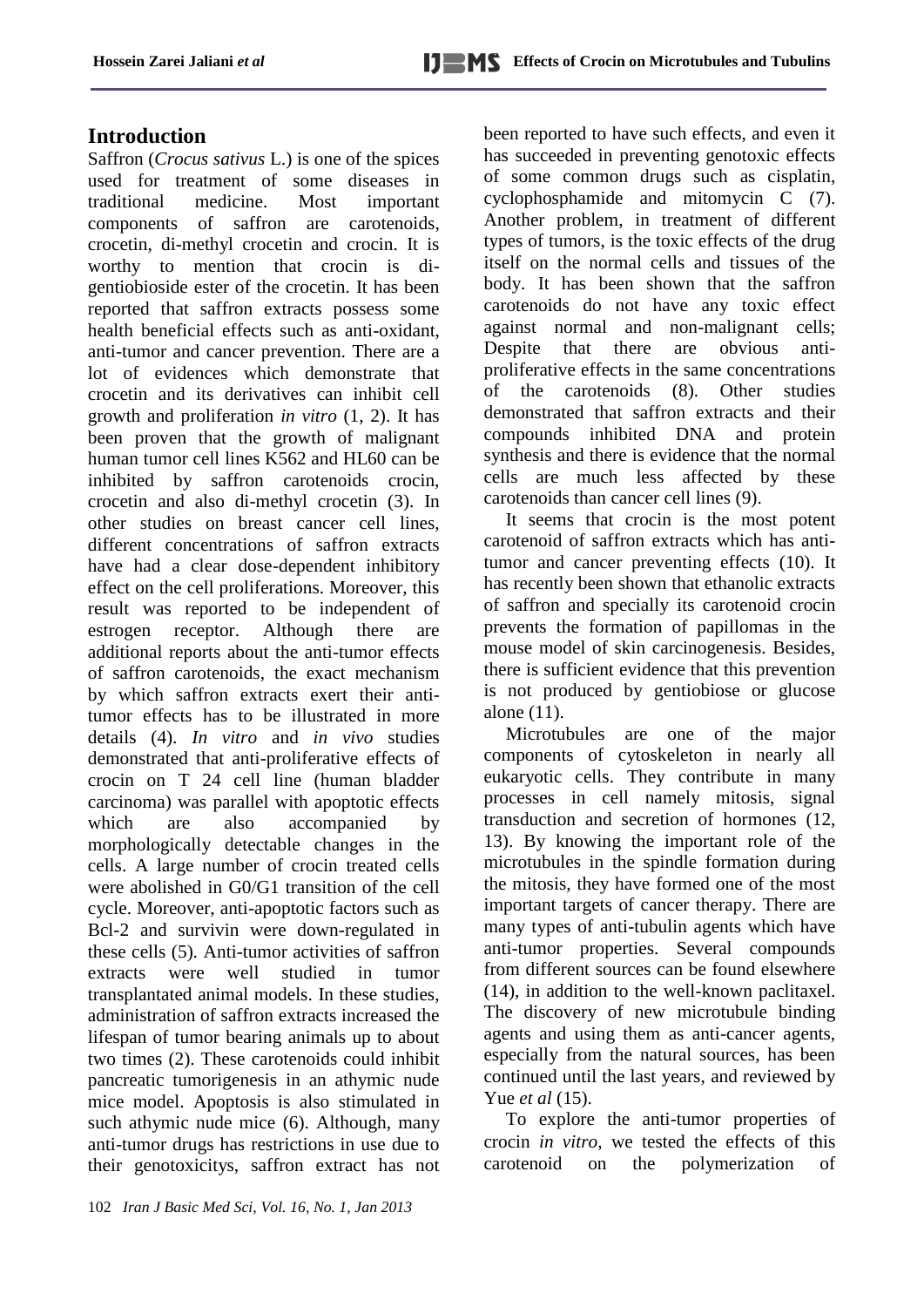# **Introduction**

Saffron (*Crocus sativus* L.) is one of the spices used for treatment of some diseases in traditional medicine. Most important components of saffron are carotenoids, crocetin, di-methyl crocetin and crocin. It is worthy to mention that crocin is digentiobioside ester of the crocetin. It has been reported that saffron extracts possess some health beneficial effects such as anti-oxidant, anti-tumor and cancer prevention. There are a lot of evidences which demonstrate that crocetin and its derivatives can inhibit cell growth and proliferation *in vitro* (1, 2). It has been proven that the growth of malignant human tumor cell lines K562 and HL60 can be inhibited by saffron carotenoids crocin, crocetin and also di-methyl crocetin (3). In other studies on breast cancer cell lines, different concentrations of saffron extracts have had a clear dose-dependent inhibitory effect on the cell proliferations. Moreover, this result was reported to be independent of estrogen receptor. Although there are additional reports about the anti-tumor effects of saffron carotenoids, the exact mechanism by which saffron extracts exert their antitumor effects has to be illustrated in more details (4). *In vitro* and *in vivo* studies demonstrated that anti-proliferative effects of crocin on T 24 cell line (human bladder carcinoma) was parallel with apoptotic effects which are also accompanied by morphologically detectable changes in the cells. A large number of crocin treated cells were abolished in G0/G1 transition of the cell cycle. Moreover, anti-apoptotic factors such as Bcl-2 and survivin were down-regulated in these cells (5). Anti-tumor activities of saffron extracts were well studied in tumor transplantated animal models. In these studies, administration of saffron extracts increased the lifespan of tumor bearing animals up to about two times (2). These carotenoids could inhibit pancreatic tumorigenesis in an athymic nude mice model. Apoptosis is also stimulated in such athymic nude mice (6). Although, many anti-tumor drugs has restrictions in use due to their genotoxicitys, saffron extract has not been reported to have such effects, and even it has succeeded in preventing genotoxic effects of some common drugs such as cisplatin, cyclophosphamide and mitomycin C (7). Another problem, in treatment of different types of tumors, is the toxic effects of the drug itself on the normal cells and tissues of the body. It has been shown that the saffron carotenoids do not have any toxic effect against normal and non-malignant cells; Despite that there are obvious antiproliferative effects in the same concentrations of the carotenoids (8). Other studies demonstrated that saffron extracts and their compounds inhibited DNA and protein synthesis and there is evidence that the normal cells are much less affected by these carotenoids than cancer cell lines (9).

It seems that crocin is the most potent carotenoid of saffron extracts which has antitumor and cancer preventing effects (10). It has recently been shown that ethanolic extracts of saffron and specially its carotenoid crocin prevents the formation of papillomas in the mouse model of skin carcinogenesis. Besides, there is sufficient evidence that this prevention is not produced by gentiobiose or glucose alone (11).

Microtubules are one of the major components of cytoskeleton in nearly all eukaryotic cells. They contribute in many processes in cell namely mitosis, signal transduction and secretion of hormones (12, 13). By knowing the important role of the microtubules in the spindle formation during the mitosis, they have formed one of the most important targets of cancer therapy. There are many types of anti-tubulin agents which have anti-tumor properties. Several compounds from different sources can be found elsewhere (14), in addition to the well-known paclitaxel. The discovery of new microtubule binding agents and using them as anti-cancer agents, especially from the natural sources, has been continued until the last years, and reviewed by Yue *et al* (15).

To explore the anti-tumor properties of crocin *in vitro*, we tested the effects of this carotenoid on the polymerization of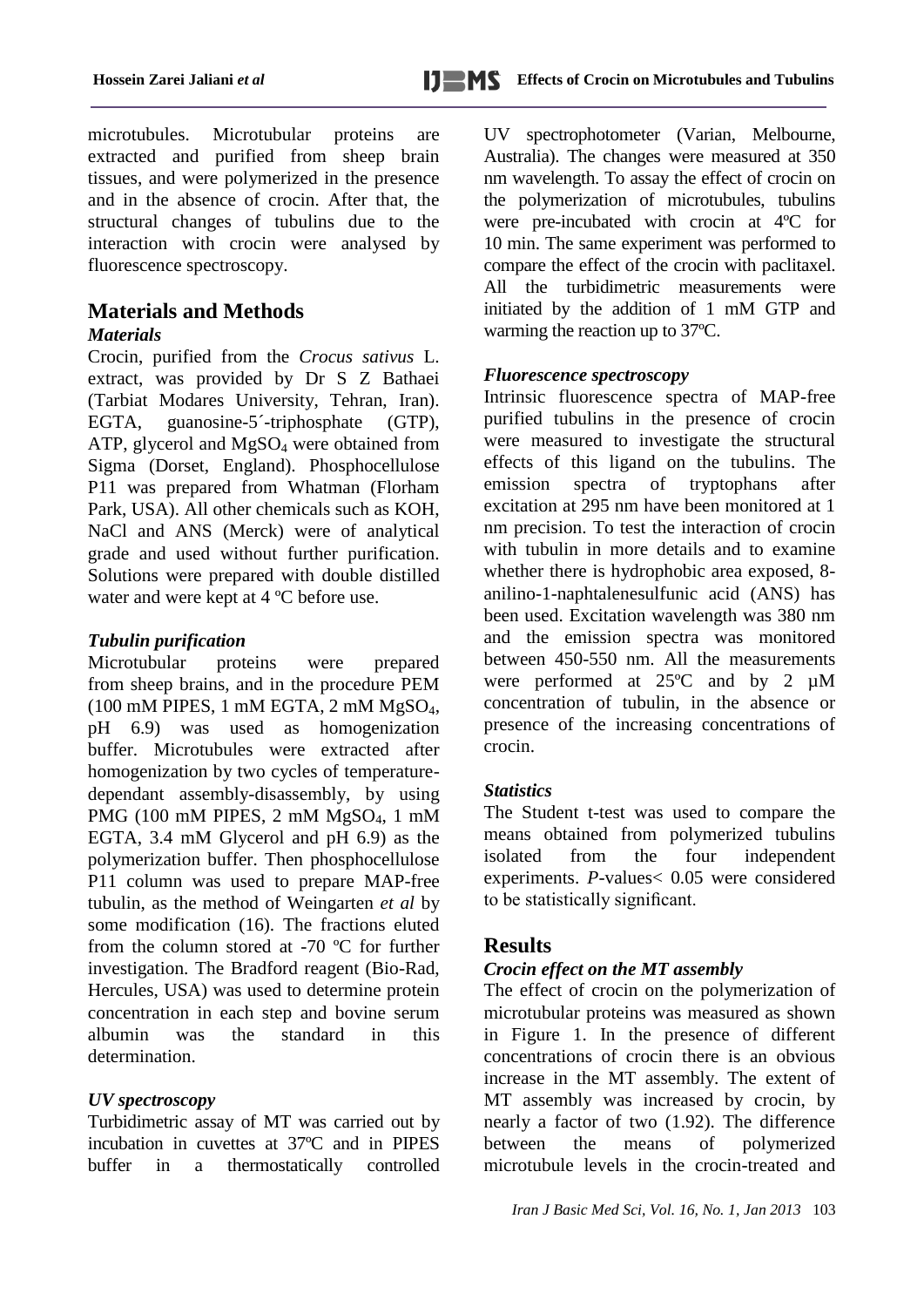microtubules. Microtubular proteins are extracted and purified from sheep brain tissues, and were polymerized in the presence and in the absence of crocin. After that, the structural changes of tubulins due to the interaction with crocin were analysed by fluorescence spectroscopy.

# **Materials and Methods**

#### *Materials*

Crocin, purified from the *Crocus sativus* L. extract, was provided by Dr S Z Bathaei (Tarbiat Modares University, Tehran, Iran). EGTA, guanosine-5´-triphosphate (GTP), ATP, glycerol and  $MgSO<sub>4</sub>$  were obtained from Sigma (Dorset, England). Phosphocellulose P11 was prepared from Whatman (Florham Park, USA). All other chemicals such as KOH, NaCl and ANS (Merck) were of analytical grade and used without further purification. Solutions were prepared with double distilled water and were kept at 4 ºC before use.

#### *Tubulin purification*

Microtubular proteins were prepared from sheep brains, and in the procedure PEM  $(100 \text{ mM PIPES}, 1 \text{ mM EGTA}, 2 \text{ mM MgSO}_4,$ pH 6.9) was used as homogenization buffer. Microtubules were extracted after homogenization by two cycles of temperaturedependant assembly-disassembly, by using PMG (100 mM PIPES, 2 mM MgSO<sub>4</sub>, 1 mM EGTA, 3.4 mM Glycerol and pH 6.9) as the polymerization buffer. Then phosphocellulose P11 column was used to prepare MAP-free tubulin, as the method of Weingarten *et al* by some modification (16). The fractions eluted from the column stored at -70 ºC for further investigation. The Bradford reagent (Bio-Rad, Hercules, USA) was used to determine protein concentration in each step and bovine serum albumin was the standard in this determination.

## *UV spectroscopy*

Turbidimetric assay of MT was carried out by incubation in cuvettes at 37ºC and in PIPES buffer in a thermostatically controlled UV spectrophotometer (Varian, Melbourne, Australia). The changes were measured at 350 nm wavelength. To assay the effect of crocin on the polymerization of microtubules, tubulins were pre-incubated with crocin at 4ºC for 10 min. The same experiment was performed to compare the effect of the crocin with paclitaxel. All the turbidimetric measurements were initiated by the addition of 1 mM GTP and warming the reaction up to 37ºC.

#### *Fluorescence spectroscopy*

Intrinsic fluorescence spectra of MAP-free purified tubulins in the presence of crocin were measured to investigate the structural effects of this ligand on the tubulins. The emission spectra of tryptophans after excitation at 295 nm have been monitored at 1 nm precision. To test the interaction of crocin with tubulin in more details and to examine whether there is hydrophobic area exposed, 8 anilino-1-naphtalenesulfunic acid (ANS) has been used. Excitation wavelength was 380 nm and the emission spectra was monitored between 450-550 nm. All the measurements were performed at 25ºC and by 2 µM concentration of tubulin, in the absence or presence of the increasing concentrations of crocin.

## *Statistics*

The Student t-test was used to compare the means obtained from polymerized tubulins isolated from the four independent experiments. *P-*values< 0.05 were considered to be statistically significant.

## **Results**

## *Crocin effect on the MT assembly*

The effect of crocin on the polymerization of microtubular proteins was measured as shown in Figure 1. In the presence of different concentrations of crocin there is an obvious increase in the MT assembly. The extent of MT assembly was increased by crocin, by nearly a factor of two (1.92). The difference between the means of polymerized microtubule levels in the crocin-treated and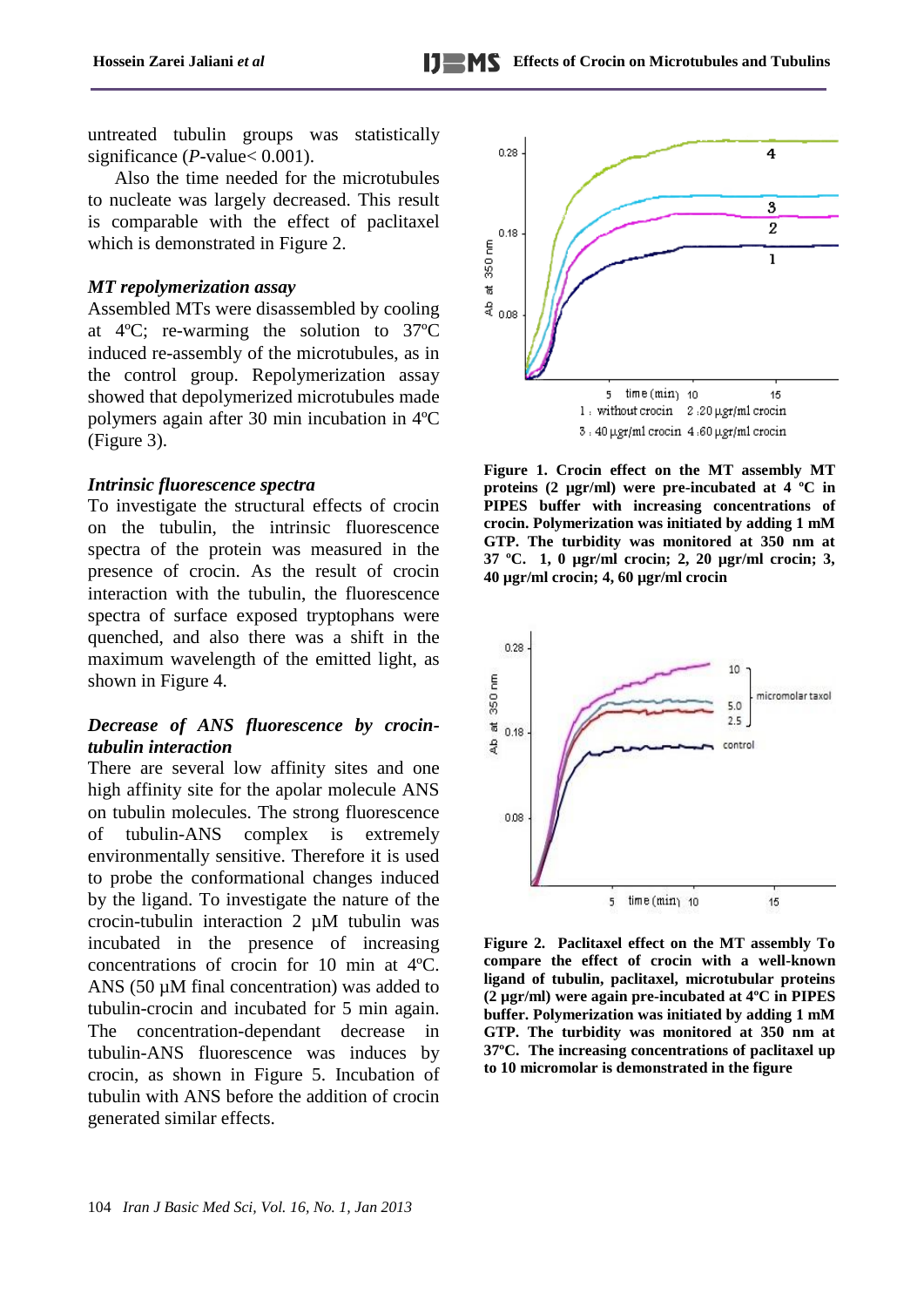untreated tubulin groups was statistically significance (*P*-value < 0.001).

Also the time needed for the microtubules to nucleate was largely decreased. This result is comparable with the effect of paclitaxel which is demonstrated in Figure 2.

#### *MT repolymerization assay*

Assembled MTs were disassembled by cooling at 4ºC; re-warming the solution to 37ºC induced re-assembly of the microtubules, as in the control group. Repolymerization assay showed that depolymerized microtubules made polymers again after 30 min incubation in 4ºC (Figure 3).

#### *Intrinsic fluorescence spectra*

To investigate the structural effects of crocin on the tubulin, the intrinsic fluorescence spectra of the protein was measured in the presence of crocin. As the result of crocin interaction with the tubulin, the fluorescence spectra of surface exposed tryptophans were quenched, and also there was a shift in the maximum wavelength of the emitted light, as shown in Figure 4.

#### *Decrease of ANS fluorescence by crocintubulin interaction*

There are several low affinity sites and one high affinity site for the apolar molecule ANS on tubulin molecules. The strong fluorescence of tubulin-ANS complex is extremely environmentally sensitive. Therefore it is used to probe the conformational changes induced by the ligand. To investigate the nature of the crocin-tubulin interaction  $2 \mu M$  tubulin was incubated in the presence of increasing concentrations of crocin for 10 min at 4ºC. ANS (50  $\mu$ M final concentration) was added to tubulin-crocin and incubated for 5 min again. The concentration-dependant decrease in tubulin-ANS fluorescence was induces by crocin, as shown in Figure 5. Incubation of tubulin with ANS before the addition of crocin generated similar effects.



**Figure 1. Crocin effect on the MT assembly MT proteins (2 µgr/ml) were pre-incubated at 4 ºC in PIPES buffer with increasing concentrations of crocin. Polymerization was initiated by adding 1 mM GTP. The turbidity was monitored at 350 nm at 37 ºC. 1, 0 µgr/ml crocin; 2, 20 µgr/ml crocin; 3, 40 µgr/ml crocin; 4, 60 µgr/ml crocin** 



**Figure 2. Paclitaxel effect on the MT assembly To compare the effect of crocin with a well-known ligand of tubulin, paclitaxel, microtubular proteins (2 µgr/ml) were again pre-incubated at 4ºC in PIPES buffer. Polymerization was initiated by adding 1 mM GTP. The turbidity was monitored at 350 nm at 37ºC. The increasing concentrations of paclitaxel up to 10 micromolar is demonstrated in the figure**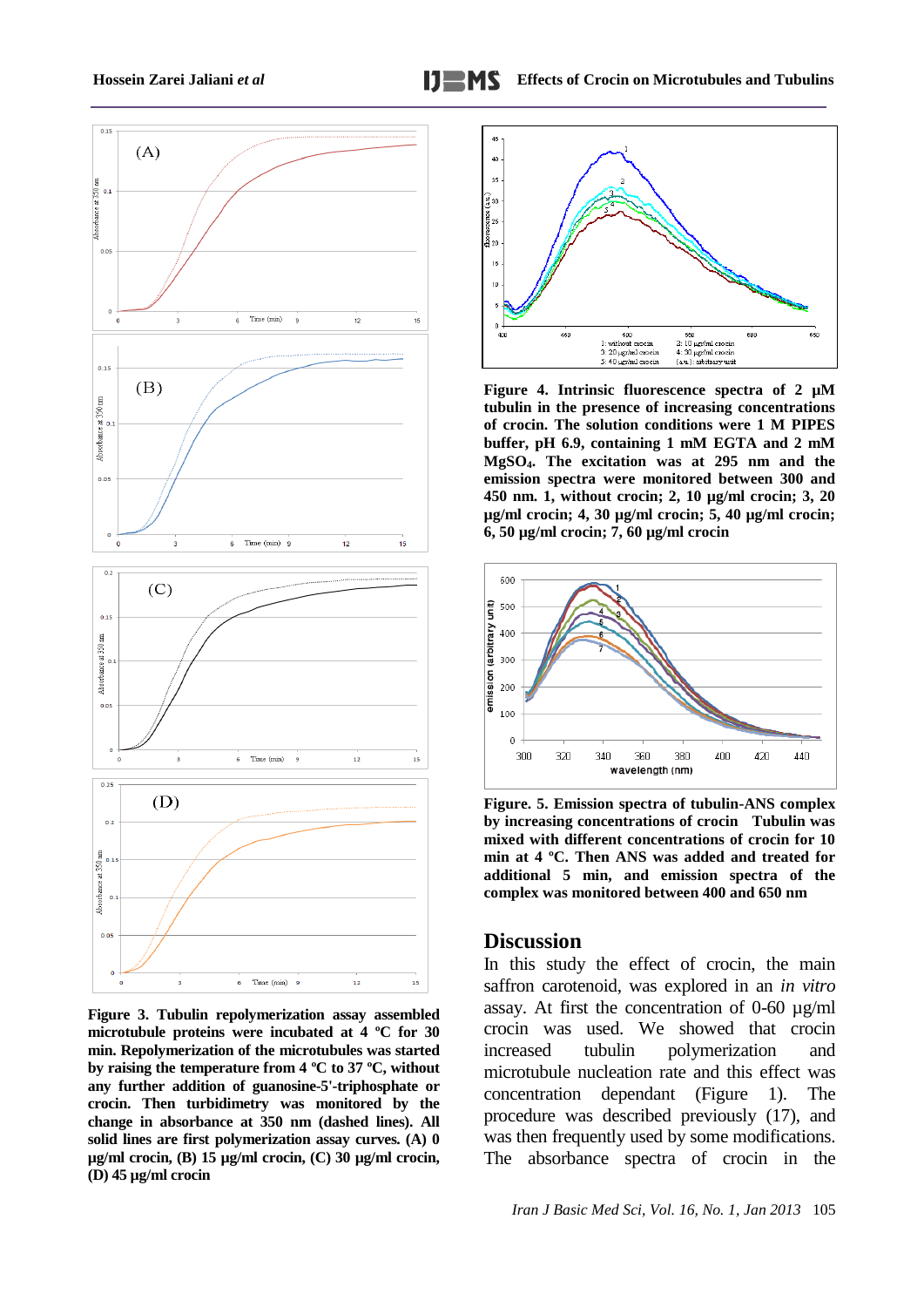

**Figure 3. Tubulin repolymerization assay assembled microtubule proteins were incubated at 4 ºC for 30 min. Repolymerization of the microtubules was started by raising the temperature from 4 ºC to 37 ºC, without any further addition of guanosine-5'-triphosphate or crocin. Then turbidimetry was monitored by the change in absorbance at 350 nm (dashed lines). All solid lines are first polymerization assay curves. (A) 0 µg/ml crocin, (B) 15 µg/ml crocin, (C) 30 µg/ml crocin, (D) 45 µg/ml crocin**



**Figure 4. Intrinsic fluorescence spectra of 2 µM tubulin in the presence of increasing concentrations of crocin. The solution conditions were 1 M PIPES buffer, pH 6.9, containing 1 mM EGTA and 2 mM MgSO4. The excitation was at 295 nm and the emission spectra were monitored between 300 and 450 nm. 1, without crocin; 2, 10 µg/ml crocin; 3, 20 µg/ml crocin; 4, 30 µg/ml crocin; 5, 40 µg/ml crocin; 6, 50 µg/ml crocin; 7, 60 µg/ml crocin**



**Figure. 5. Emission spectra of tubulin-ANS complex by increasing concentrations of crocin Tubulin was mixed with different concentrations of crocin for 10 min at 4 ºC. Then ANS was added and treated for additional 5 min, and emission spectra of the complex was monitored between 400 and 650 nm**

#### **Discussion**

In this study the effect of crocin, the main saffron carotenoid, was explored in an *in vitro*  assay. At first the concentration of 0-60 µg/ml crocin was used. We showed that crocin increased tubulin polymerization and microtubule nucleation rate and this effect was concentration dependant (Figure 1). The procedure was described previously (17), and was then frequently used by some modifications. The absorbance spectra of crocin in the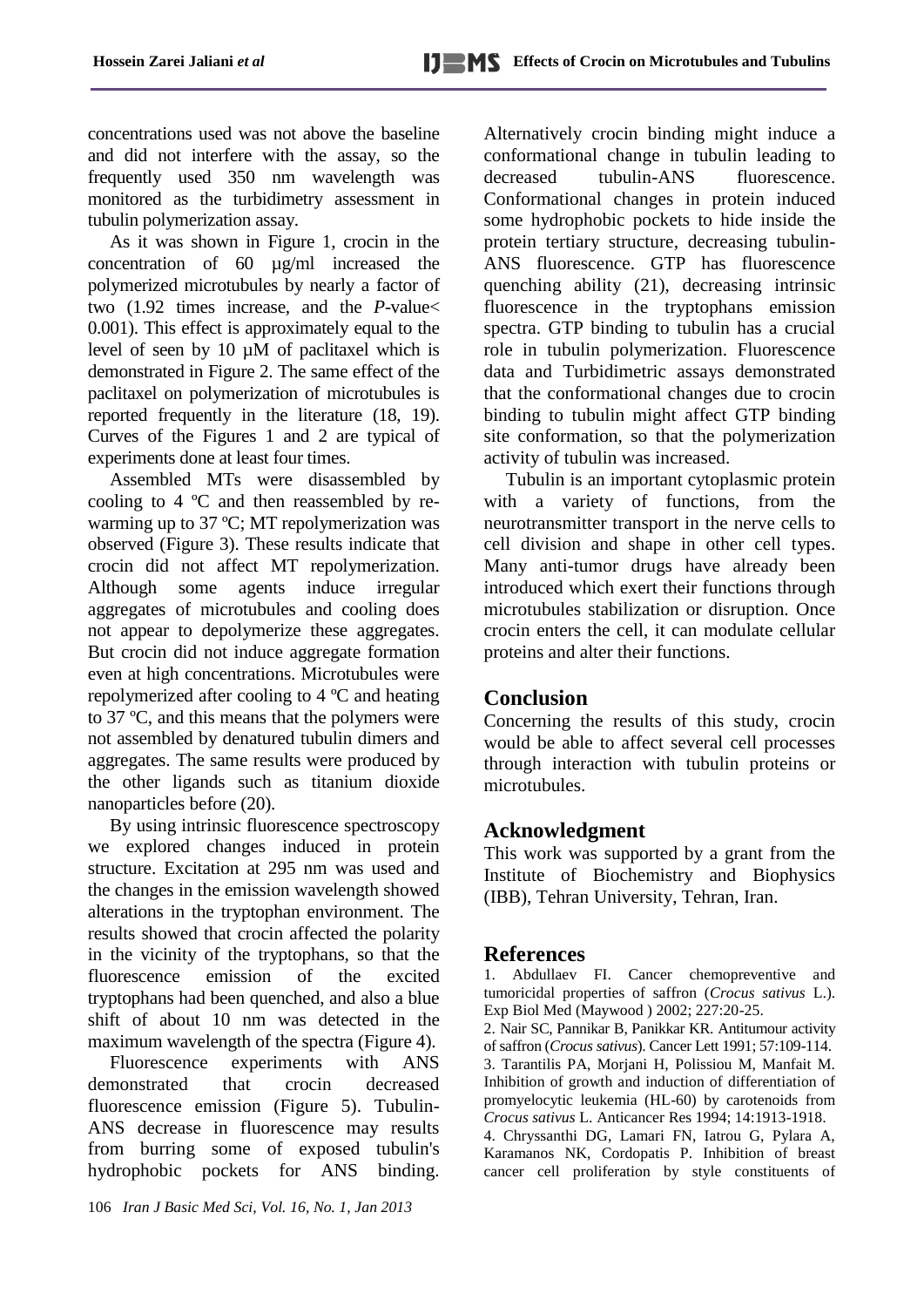concentrations used was not above the baseline and did not interfere with the assay, so the frequently used 350 nm wavelength was monitored as the turbidimetry assessment in tubulin polymerization assay.

As it was shown in Figure 1, crocin in the concentration of 60 µg/ml increased the polymerized microtubules by nearly a factor of two (1.92 times increase, and the *P-*value< 0.001). This effect is approximately equal to the level of seen by 10 µM of paclitaxel which is demonstrated in Figure 2. The same effect of the paclitaxel on polymerization of microtubules is reported frequently in the literature (18, 19). Curves of the Figures 1 and 2 are typical of experiments done at least four times.

Assembled MTs were disassembled by cooling to 4 ºC and then reassembled by rewarming up to 37 ºC; MT repolymerization was observed (Figure 3). These results indicate that crocin did not affect MT repolymerization. Although some agents induce irregular aggregates of microtubules and cooling does not appear to depolymerize these aggregates. But crocin did not induce aggregate formation even at high concentrations. Microtubules were repolymerized after cooling to 4 ºC and heating to 37 ºC, and this means that the polymers were not assembled by denatured tubulin dimers and aggregates. The same results were produced by the other ligands such as titanium dioxide nanoparticles before (20).

By using intrinsic fluorescence spectroscopy we explored changes induced in protein structure. Excitation at 295 nm was used and the changes in the emission wavelength showed alterations in the tryptophan environment. The results showed that crocin affected the polarity in the vicinity of the tryptophans, so that the fluorescence emission of the excited tryptophans had been quenched, and also a blue shift of about 10 nm was detected in the maximum wavelength of the spectra (Figure 4).

Fluorescence experiments with ANS demonstrated that crocin decreased fluorescence emission (Figure 5). Tubulin-ANS decrease in fluorescence may results from burring some of exposed tubulin's hydrophobic pockets for ANS binding.

106 *Iran J Basic Med Sci, Vol. 16, No. 1, Jan 2013*

Alternatively crocin binding might induce a conformational change in tubulin leading to decreased tubulin-ANS fluorescence. Conformational changes in protein induced some hydrophobic pockets to hide inside the protein tertiary structure, decreasing tubulin-ANS fluorescence. GTP has fluorescence quenching ability (21), decreasing intrinsic fluorescence in the tryptophans emission spectra. GTP binding to tubulin has a crucial role in tubulin polymerization. Fluorescence data and Turbidimetric assays demonstrated that the conformational changes due to crocin binding to tubulin might affect GTP binding site conformation, so that the polymerization activity of tubulin was increased.

Tubulin is an important cytoplasmic protein with a variety of functions, from the neurotransmitter transport in the nerve cells to cell division and shape in other cell types. Many anti-tumor drugs have already been introduced which exert their functions through microtubules stabilization or disruption. Once crocin enters the cell, it can modulate cellular proteins and alter their functions.

# **Conclusion**

Concerning the results of this study, crocin would be able to affect several cell processes through interaction with tubulin proteins or microtubules.

# **Acknowledgment**

This work was supported by a grant from the Institute of Biochemistry and Biophysics (IBB), Tehran University, Tehran, Iran.

# **References**

1. Abdullaev FI. Cancer chemopreventive and tumoricidal properties of saffron (*Crocus sativus* L.). Exp Biol Med (Maywood ) 2002; 227:20-25.

2. Nair SC, Pannikar B, Panikkar KR. Antitumour activity of saffron (*Crocus sativus*). Cancer Lett 1991; 57:109-114. 3. Tarantilis PA, Morjani H, Polissiou M, Manfait M. Inhibition of growth and induction of differentiation of promyelocytic leukemia (HL-60) by carotenoids from *Crocus sativus* L. Anticancer Res 1994; 14:1913-1918.

4. Chryssanthi DG, Lamari FN, Iatrou G, Pylara A, Karamanos NK, Cordopatis P. Inhibition of breast cancer cell proliferation by style constituents of